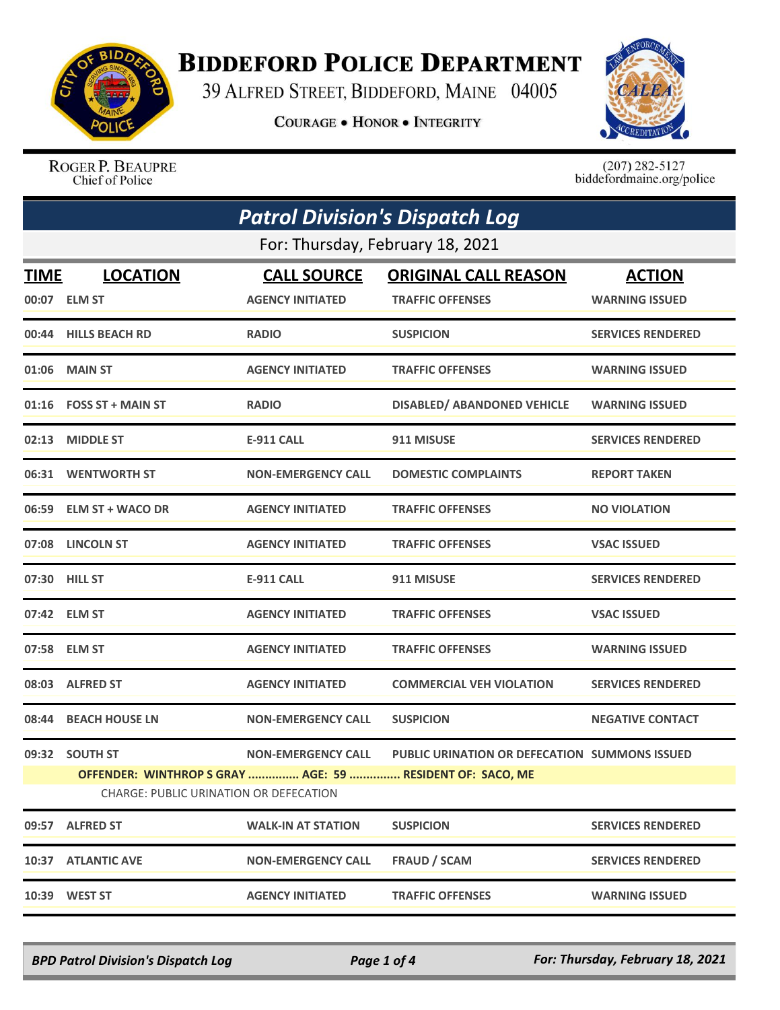

## **BIDDEFORD POLICE DEPARTMENT**

39 ALFRED STREET, BIDDEFORD, MAINE 04005

**COURAGE . HONOR . INTEGRITY** 



ROGER P. BEAUPRE Chief of Police

 $(207)$  282-5127<br>biddefordmaine.org/police

| <b>Patrol Division's Dispatch Log</b>  |                                  |                           |                                                           |                          |  |  |
|----------------------------------------|----------------------------------|---------------------------|-----------------------------------------------------------|--------------------------|--|--|
|                                        | For: Thursday, February 18, 2021 |                           |                                                           |                          |  |  |
| <b>TIME</b>                            | <b>LOCATION</b>                  | <b>CALL SOURCE</b>        | <b>ORIGINAL CALL REASON</b>                               | <b>ACTION</b>            |  |  |
|                                        | 00:07 ELM ST                     | <b>AGENCY INITIATED</b>   | <b>TRAFFIC OFFENSES</b>                                   | <b>WARNING ISSUED</b>    |  |  |
|                                        | 00:44 HILLS BEACH RD             | <b>RADIO</b>              | <b>SUSPICION</b>                                          | <b>SERVICES RENDERED</b> |  |  |
|                                        | 01:06 MAIN ST                    | <b>AGENCY INITIATED</b>   | <b>TRAFFIC OFFENSES</b>                                   | <b>WARNING ISSUED</b>    |  |  |
|                                        | $01:16$ FOSS ST + MAIN ST        | <b>RADIO</b>              | <b>DISABLED/ ABANDONED VEHICLE</b>                        | <b>WARNING ISSUED</b>    |  |  |
|                                        | 02:13 MIDDLE ST                  | <b>E-911 CALL</b>         | 911 MISUSE                                                | <b>SERVICES RENDERED</b> |  |  |
|                                        | 06:31 WENTWORTH ST               | <b>NON-EMERGENCY CALL</b> | <b>DOMESTIC COMPLAINTS</b>                                | <b>REPORT TAKEN</b>      |  |  |
|                                        | 06:59 ELM ST + WACO DR           | <b>AGENCY INITIATED</b>   | <b>TRAFFIC OFFENSES</b>                                   | <b>NO VIOLATION</b>      |  |  |
|                                        | 07:08 LINCOLN ST                 | <b>AGENCY INITIATED</b>   | <b>TRAFFIC OFFENSES</b>                                   | <b>VSAC ISSUED</b>       |  |  |
|                                        | 07:30 HILL ST                    | E-911 CALL                | 911 MISUSE                                                | <b>SERVICES RENDERED</b> |  |  |
|                                        | 07:42 ELM ST                     | <b>AGENCY INITIATED</b>   | <b>TRAFFIC OFFENSES</b>                                   | <b>VSAC ISSUED</b>       |  |  |
|                                        | 07:58 ELM ST                     | <b>AGENCY INITIATED</b>   | <b>TRAFFIC OFFENSES</b>                                   | <b>WARNING ISSUED</b>    |  |  |
|                                        | 08:03 ALFRED ST                  | <b>AGENCY INITIATED</b>   | <b>COMMERCIAL VEH VIOLATION</b>                           | <b>SERVICES RENDERED</b> |  |  |
|                                        | 08:44 BEACH HOUSE LN             | <b>NON-EMERGENCY CALL</b> | <b>SUSPICION</b>                                          | <b>NEGATIVE CONTACT</b>  |  |  |
|                                        | 09:32 SOUTH ST                   | <b>NON-EMERGENCY CALL</b> | PUBLIC URINATION OR DEFECATION SUMMONS ISSUED             |                          |  |  |
|                                        |                                  |                           | OFFENDER: WINTHROP S GRAY  AGE: 59  RESIDENT OF: SACO, ME |                          |  |  |
| CHARGE: PUBLIC URINATION OR DEFECATION |                                  |                           |                                                           |                          |  |  |
| 09:57                                  | <b>ALFRED ST</b>                 | <b>WALK-IN AT STATION</b> | <b>SUSPICION</b>                                          | <b>SERVICES RENDERED</b> |  |  |
| 10:37                                  | <b>ATLANTIC AVE</b>              | <b>NON-EMERGENCY CALL</b> | <b>FRAUD / SCAM</b>                                       | <b>SERVICES RENDERED</b> |  |  |
|                                        | 10:39 WEST ST                    | <b>AGENCY INITIATED</b>   | <b>TRAFFIC OFFENSES</b>                                   | <b>WARNING ISSUED</b>    |  |  |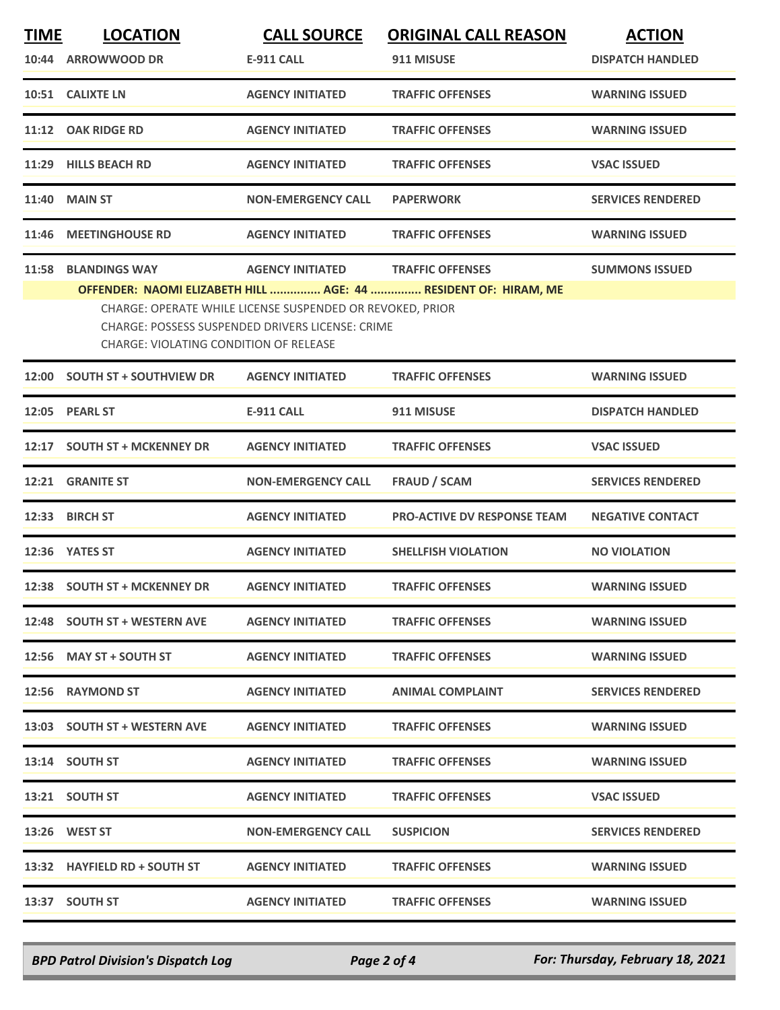| <b>TIME</b> | <b>LOCATION</b>                        | <b>CALL SOURCE</b>                                                                                            | <b>ORIGINAL CALL REASON</b>                                     | <b>ACTION</b>            |
|-------------|----------------------------------------|---------------------------------------------------------------------------------------------------------------|-----------------------------------------------------------------|--------------------------|
|             | 10:44 ARROWWOOD DR                     | <b>E-911 CALL</b>                                                                                             | 911 MISUSE                                                      | <b>DISPATCH HANDLED</b>  |
|             | 10:51 CALIXTE LN                       | <b>AGENCY INITIATED</b>                                                                                       | <b>TRAFFIC OFFENSES</b>                                         | <b>WARNING ISSUED</b>    |
|             | 11:12 OAK RIDGE RD                     | <b>AGENCY INITIATED</b>                                                                                       | <b>TRAFFIC OFFENSES</b>                                         | <b>WARNING ISSUED</b>    |
| 11:29       | <b>HILLS BEACH RD</b>                  | <b>AGENCY INITIATED</b>                                                                                       | <b>TRAFFIC OFFENSES</b>                                         | <b>VSAC ISSUED</b>       |
|             | <b>11:40 MAIN ST</b>                   | <b>NON-EMERGENCY CALL</b>                                                                                     | <b>PAPERWORK</b>                                                | <b>SERVICES RENDERED</b> |
| 11:46       | <b>MEETINGHOUSE RD</b>                 | <b>AGENCY INITIATED</b>                                                                                       | <b>TRAFFIC OFFENSES</b>                                         | <b>WARNING ISSUED</b>    |
| 11:58       | <b>BLANDINGS WAY</b>                   | <b>AGENCY INITIATED</b>                                                                                       | <b>TRAFFIC OFFENSES</b>                                         | <b>SUMMONS ISSUED</b>    |
|             |                                        |                                                                                                               | OFFENDER: NAOMI ELIZABETH HILL  AGE: 44  RESIDENT OF: HIRAM, ME |                          |
|             |                                        | CHARGE: OPERATE WHILE LICENSE SUSPENDED OR REVOKED, PRIOR<br>CHARGE: POSSESS SUSPENDED DRIVERS LICENSE: CRIME |                                                                 |                          |
|             | CHARGE: VIOLATING CONDITION OF RELEASE |                                                                                                               |                                                                 |                          |
|             | 12:00 SOUTH ST + SOUTHVIEW DR          | <b>AGENCY INITIATED</b>                                                                                       | <b>TRAFFIC OFFENSES</b>                                         | <b>WARNING ISSUED</b>    |
|             | 12:05 PEARL ST                         | <b>E-911 CALL</b>                                                                                             | 911 MISUSE                                                      | <b>DISPATCH HANDLED</b>  |
|             | 12:17 SOUTH ST + MCKENNEY DR           | <b>AGENCY INITIATED</b>                                                                                       | <b>TRAFFIC OFFENSES</b>                                         | <b>VSAC ISSUED</b>       |
|             | 12:21 GRANITE ST                       | <b>NON-EMERGENCY CALL</b>                                                                                     | <b>FRAUD / SCAM</b>                                             | <b>SERVICES RENDERED</b> |
| 12:33       | <b>BIRCH ST</b>                        | <b>AGENCY INITIATED</b>                                                                                       | <b>PRO-ACTIVE DV RESPONSE TEAM</b>                              | <b>NEGATIVE CONTACT</b>  |
|             | 12:36 YATES ST                         | <b>AGENCY INITIATED</b>                                                                                       | <b>SHELLFISH VIOLATION</b>                                      | <b>NO VIOLATION</b>      |
|             | 12:38 SOUTH ST + MCKENNEY DR           | <b>AGENCY INITIATED</b>                                                                                       | <b>TRAFFIC OFFENSES</b>                                         | <b>WARNING ISSUED</b>    |
|             | 12:48 SOUTH ST + WESTERN AVE           | <b>AGENCY INITIATED</b>                                                                                       | <b>TRAFFIC OFFENSES</b>                                         | <b>WARNING ISSUED</b>    |
|             | 12:56 MAY ST + SOUTH ST                | <b>AGENCY INITIATED</b>                                                                                       | <b>TRAFFIC OFFENSES</b>                                         | <b>WARNING ISSUED</b>    |
|             | 12:56 RAYMOND ST                       | <b>AGENCY INITIATED</b>                                                                                       | <b>ANIMAL COMPLAINT</b>                                         | <b>SERVICES RENDERED</b> |
|             | 13:03 SOUTH ST + WESTERN AVE           | <b>AGENCY INITIATED</b>                                                                                       | <b>TRAFFIC OFFENSES</b>                                         | <b>WARNING ISSUED</b>    |
|             | 13:14 SOUTH ST                         | <b>AGENCY INITIATED</b>                                                                                       | <b>TRAFFIC OFFENSES</b>                                         | <b>WARNING ISSUED</b>    |
|             | 13:21 SOUTH ST                         | <b>AGENCY INITIATED</b>                                                                                       | <b>TRAFFIC OFFENSES</b>                                         | <b>VSAC ISSUED</b>       |
|             | 13:26 WEST ST                          | <b>NON-EMERGENCY CALL</b>                                                                                     | <b>SUSPICION</b>                                                | <b>SERVICES RENDERED</b> |
|             | 13:32 HAYFIELD RD + SOUTH ST           | <b>AGENCY INITIATED</b>                                                                                       | <b>TRAFFIC OFFENSES</b>                                         | <b>WARNING ISSUED</b>    |
|             | 13:37 SOUTH ST                         | <b>AGENCY INITIATED</b>                                                                                       | <b>TRAFFIC OFFENSES</b>                                         | <b>WARNING ISSUED</b>    |

*BPD Patrol Division's Dispatch Log Page 2 of 4 For: Thursday, February 18, 2021*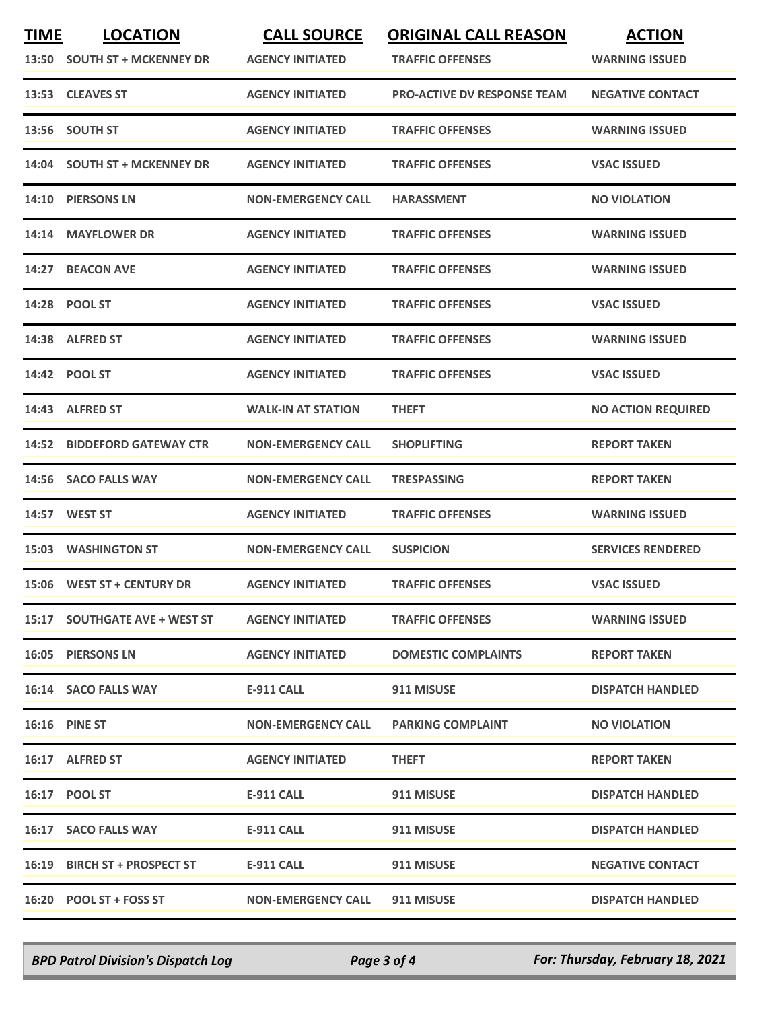| <b>TIME</b> | <b>LOCATION</b>               | <b>CALL SOURCE</b>        | <b>ORIGINAL CALL REASON</b>        | <b>ACTION</b>             |
|-------------|-------------------------------|---------------------------|------------------------------------|---------------------------|
|             | 13:50 SOUTH ST + MCKENNEY DR  | <b>AGENCY INITIATED</b>   | <b>TRAFFIC OFFENSES</b>            | <b>WARNING ISSUED</b>     |
|             | 13:53 CLEAVES ST              | <b>AGENCY INITIATED</b>   | <b>PRO-ACTIVE DV RESPONSE TEAM</b> | <b>NEGATIVE CONTACT</b>   |
|             | 13:56 SOUTH ST                | <b>AGENCY INITIATED</b>   | <b>TRAFFIC OFFENSES</b>            | <b>WARNING ISSUED</b>     |
|             | 14:04 SOUTH ST + MCKENNEY DR  | <b>AGENCY INITIATED</b>   | <b>TRAFFIC OFFENSES</b>            | <b>VSAC ISSUED</b>        |
| 14:10       | <b>PIERSONS LN</b>            | <b>NON-EMERGENCY CALL</b> | <b>HARASSMENT</b>                  | <b>NO VIOLATION</b>       |
|             | 14:14 MAYFLOWER DR            | <b>AGENCY INITIATED</b>   | <b>TRAFFIC OFFENSES</b>            | <b>WARNING ISSUED</b>     |
| 14:27       | <b>BEACON AVE</b>             | <b>AGENCY INITIATED</b>   | <b>TRAFFIC OFFENSES</b>            | <b>WARNING ISSUED</b>     |
|             | 14:28 POOL ST                 | <b>AGENCY INITIATED</b>   | <b>TRAFFIC OFFENSES</b>            | <b>VSAC ISSUED</b>        |
|             | 14:38 ALFRED ST               | <b>AGENCY INITIATED</b>   | <b>TRAFFIC OFFENSES</b>            | <b>WARNING ISSUED</b>     |
|             | 14:42 POOL ST                 | <b>AGENCY INITIATED</b>   | <b>TRAFFIC OFFENSES</b>            | <b>VSAC ISSUED</b>        |
|             | 14:43 ALFRED ST               | <b>WALK-IN AT STATION</b> | <b>THEFT</b>                       | <b>NO ACTION REQUIRED</b> |
| 14:52       | <b>BIDDEFORD GATEWAY CTR</b>  | <b>NON-EMERGENCY CALL</b> | <b>SHOPLIFTING</b>                 | <b>REPORT TAKEN</b>       |
|             | 14:56 SACO FALLS WAY          | <b>NON-EMERGENCY CALL</b> | <b>TRESPASSING</b>                 | <b>REPORT TAKEN</b>       |
|             | <b>14:57 WEST ST</b>          | <b>AGENCY INITIATED</b>   | <b>TRAFFIC OFFENSES</b>            | <b>WARNING ISSUED</b>     |
|             | <b>15:03 WASHINGTON ST</b>    | <b>NON-EMERGENCY CALL</b> | <b>SUSPICION</b>                   | <b>SERVICES RENDERED</b>  |
|             | 15:06 WEST ST + CENTURY DR    | <b>AGENCY INITIATED</b>   | <b>TRAFFIC OFFENSES</b>            | <b>VSAC ISSUED</b>        |
|             | 15:17 SOUTHGATE AVE + WEST ST | <b>AGENCY INITIATED</b>   | <b>TRAFFIC OFFENSES</b>            | <b>WARNING ISSUED</b>     |
|             | 16:05 PIERSONS LN             | <b>AGENCY INITIATED</b>   | <b>DOMESTIC COMPLAINTS</b>         | <b>REPORT TAKEN</b>       |
|             | 16:14 SACO FALLS WAY          | E-911 CALL                | 911 MISUSE                         | <b>DISPATCH HANDLED</b>   |
|             | <b>16:16 PINE ST</b>          | <b>NON-EMERGENCY CALL</b> | <b>PARKING COMPLAINT</b>           | <b>NO VIOLATION</b>       |
|             | 16:17 ALFRED ST               | <b>AGENCY INITIATED</b>   | <b>THEFT</b>                       | <b>REPORT TAKEN</b>       |
|             | 16:17 POOL ST                 | <b>E-911 CALL</b>         | 911 MISUSE                         | <b>DISPATCH HANDLED</b>   |
|             | 16:17 SACO FALLS WAY          | <b>E-911 CALL</b>         | 911 MISUSE                         | <b>DISPATCH HANDLED</b>   |
|             | 16:19 BIRCH ST + PROSPECT ST  | <b>E-911 CALL</b>         | 911 MISUSE                         | <b>NEGATIVE CONTACT</b>   |
|             | 16:20 POOL ST + FOSS ST       | <b>NON-EMERGENCY CALL</b> | 911 MISUSE                         | <b>DISPATCH HANDLED</b>   |

*BPD Patrol Division's Dispatch Log Page 3 of 4 For: Thursday, February 18, 2021*